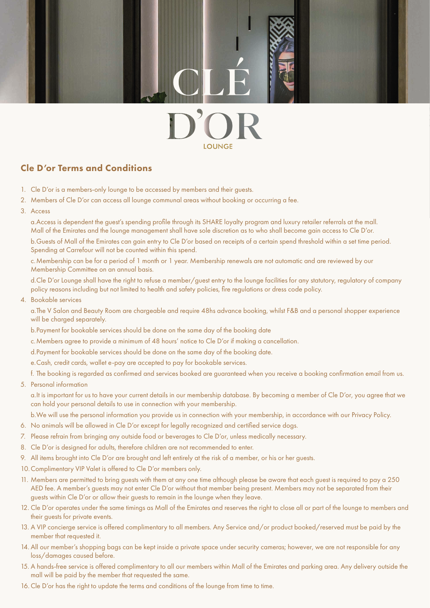## **I OLINGE**

## Cle D'or Terms and Conditions

- 1. Cle D'or is a members-only lounge to be accessed by members and their guests.
- 2. Members of Cle D'or can access all lounge communal areas without booking or occurring a fee.
- 3. Access

 a. Access is dependent the guest's spending profile through its SHARE loyalty program and luxury retailer referrals at the mall. Mall of the Emirates and the lounge management shall have sole discretion as to who shall become gain access to Cle D'or.

 b. Guests of Mall of the Emirates can gain entry to Cle D'or based on receipts of a certain spend threshold within a set time period. Spending at Carrefour will not be counted within this spend.

 c. Membership can be for a period of 1 month or 1 year. Membership renewals are not automatic and are reviewed by our Membership Committee on an annual basis.

 d. Cle D'or Lounge shall have the right to refuse a member/guest entry to the lounge facilities for any statutory, regulatory of company policy reasons including but not limited to health and safety policies, fire regulations or dress code policy.

4. Bookable services

 a. The V Salon and Beauty Room are chargeable and require 48hs advance booking, whilst F&B and a personal shopper experience will be charged separately.

- b. Payment for bookable services should be done on the same day of the booking date
- c. Members agree to provide a minimum of 48 hours' notice to Cle D'or if making a cancellation.
- d. Payment for bookable services should be done on the same day of the booking date.
- e. Cash, credit cards, wallet e-pay are accepted to pay for bookable services.
- f. The booking is regarded as confirmed and services booked are guaranteed when you receive a booking confirmation email from us.
- 5. Personal information

 a. It is important for us to have your current details in our membership database. By becoming a member of Cle D'or, you agree that we can hold your personal details to use in connection with your membership.

b. We will use the personal information you provide us in connection with your membership, in accordance with our Privacy Policy.

- 6. No animals will be allowed in Cle D'or except for legally recognized and certified service dogs.
- 7. Please refrain from bringing any outside food or beverages to Cle D'or, unless medically necessary.
- 8. Cle D'or is designed for adults, therefore children are not recommended to enter.
- 9. All items brought into Cle D'or are brought and left entirely at the risk of a member, or his or her guests.
- 10. Complimentary VIP Valet is offered to Cle D'or members only.
- 11. Members are permitted to bring guests with them at any one time although please be aware that each guest is required to pay a 250 AED fee. A member's guests may not enter Cle D'or without that member being present. Members may not be separated from their guests within Cle D'or or allow their guests to remain in the lounge when they leave.
- 12. Cle D'or operates under the same timings as Mall of the Emirates and reserves the right to close all or part of the lounge to members and their guests for private events.
- 13. A VIP concierge service is offered complimentary to all members. Any Service and/or product booked/reserved must be paid by the member that requested it.
- 14. All our member's shopping bags can be kept inside a private space under security cameras; however, we are not responsible for any loss/damages caused before.
- 15. A hands-free service is offered complimentary to all our members within Mall of the Emirates and parking area. Any delivery outside the mall will be paid by the member that requested the same.
- 16. Cle D'or has the right to update the terms and conditions of the lounge from time to time.